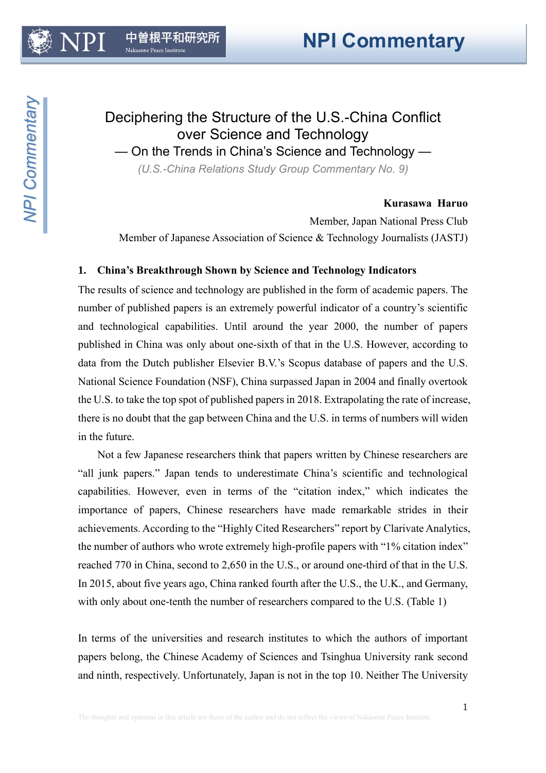# Deciphering the Structure of the U.S.-China Conflict over Science and Technology

— On the Trends in China's Science and Technology —

*(U.S.-China Relations Study Group Commentary No. 9)*

## **Kurasawa Haruo**

Member, Japan National Press Club Member of Japanese Association of Science & Technology Journalists (JASTJ)

## **1. China's Breakthrough Shown by Science and Technology Indicators**

The results of science and technology are published in the form of academic papers. The number of published papers is an extremely powerful indicator of a country's scientific and technological capabilities. Until around the year 2000, the number of papers published in China was only about one-sixth of that in the U.S. However, according to data from the Dutch publisher Elsevier B.V.'s Scopus database of papers and the U.S. National Science Foundation (NSF), China surpassed Japan in 2004 and finally overtook the U.S. to take the top spot of published papers in 2018. Extrapolating the rate of increase, there is no doubt that the gap between China and the U.S. in terms of numbers will widen in the future.

Not a few Japanese researchers think that papers written by Chinese researchers are "all junk papers." Japan tends to underestimate China's scientific and technological capabilities. However, even in terms of the "citation index," which indicates the importance of papers, Chinese researchers have made remarkable strides in their achievements. According to the "Highly Cited Researchers" report by Clarivate Analytics, the number of authors who wrote extremely high-profile papers with "1% citation index" reached 770 in China, second to 2,650 in the U.S., or around one-third of that in the U.S. In 2015, about five years ago, China ranked fourth after the U.S., the U.K., and Germany, with only about one-tenth the number of researchers compared to the U.S. (Table 1)

In terms of the universities and research institutes to which the authors of important papers belong, the Chinese Academy of Sciences and Tsinghua University rank second and ninth, respectively. Unfortunately, Japan is not in the top 10. Neither The University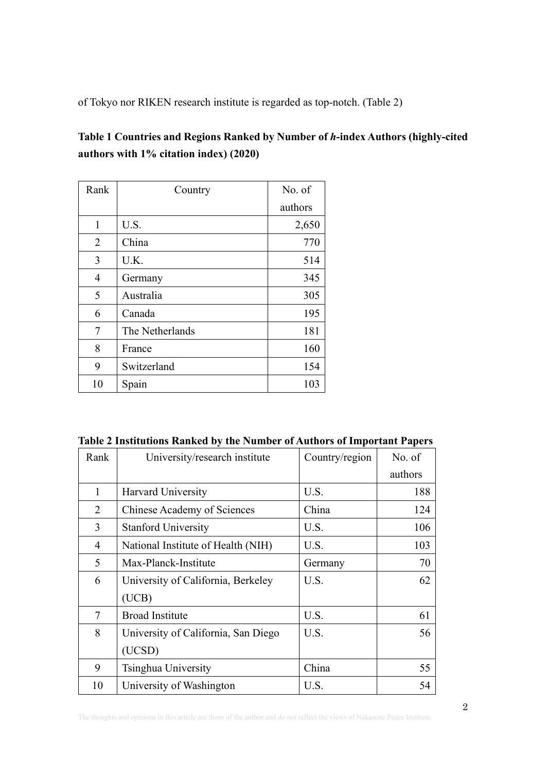of Tokyo nor RIKEN research institute is regarded as top-notch. (Table 2)

## **Table 1 Countries and Regions Ranked by Number of** *h***-index Authors (highly-cited authors with 1% citation index) (2020)**

| Rank           | Country         | No. of  |
|----------------|-----------------|---------|
|                |                 | authors |
| 1              | U.S.            | 2,650   |
| 2              | China           | 770     |
| 3              | U.K.            | 514     |
| $\overline{4}$ | Germany         | 345     |
| 5              | Australia       | 305     |
| 6              | Canada          | 195     |
| 7              | The Netherlands | 181     |
| 8              | France          | 160     |
| 9              | Switzerland     | 154     |
| 10             | Spain           | 103     |

**Table 2 Institutions Ranked by the Number of Authors of Important Papers**

| Rank | University/research institute       | Country/region | No. of  |
|------|-------------------------------------|----------------|---------|
|      |                                     |                | authors |
| 1    | <b>Harvard University</b>           | U.S.           | 188     |
| 2    | <b>Chinese Academy of Sciences</b>  | China          | 124     |
| 3    | <b>Stanford University</b>          | U.S.           | 106     |
| 4    | National Institute of Health (NIH)  | U.S.           | 103     |
| 5    | Max-Planck-Institute                | Germany        | 70      |
| 6    | University of California, Berkeley  | U.S.           | 62      |
|      | (UCB)                               |                |         |
| 7    | <b>Broad Institute</b>              | U.S.           | 61      |
| 8    | University of California, San Diego | U.S.           | 56      |
|      | (UCSD)                              |                |         |
| 9    | Tsinghua University                 | China          | 55      |
| 10   | University of Washington            | U.S.           | 54      |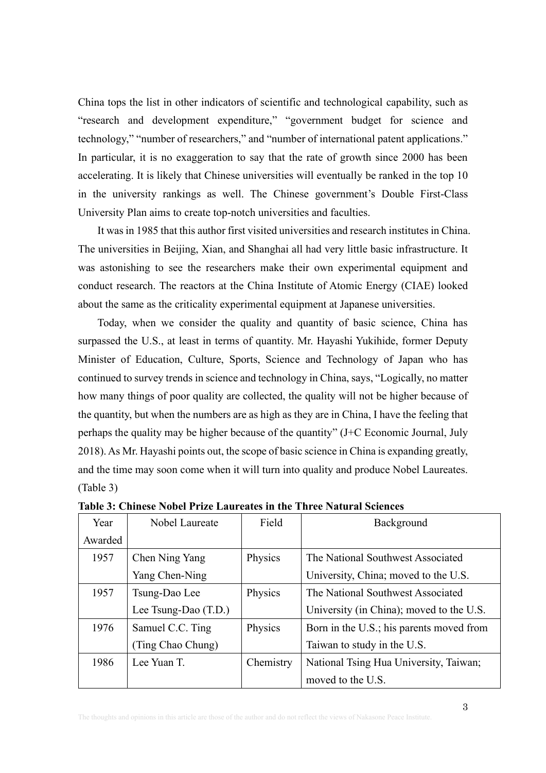China tops the list in other indicators of scientific and technological capability, such as "research and development expenditure," "government budget for science and technology," "number of researchers," and "number of international patent applications." In particular, it is no exaggeration to say that the rate of growth since 2000 has been accelerating. It is likely that Chinese universities will eventually be ranked in the top 10 in the university rankings as well. The Chinese government's Double First-Class University Plan aims to create top-notch universities and faculties.

It was in 1985 that this author first visited universities and research institutes in China. The universities in Beijing, Xian, and Shanghai all had very little basic infrastructure. It was astonishing to see the researchers make their own experimental equipment and conduct research. The reactors at the China Institute of Atomic Energy (CIAE) looked about the same as the criticality experimental equipment at Japanese universities.

Today, when we consider the quality and quantity of basic science, China has surpassed the U.S., at least in terms of quantity. Mr. Hayashi Yukihide, former Deputy Minister of Education, Culture, Sports, Science and Technology of Japan who has continued to survey trends in science and technology in China, says, "Logically, no matter how many things of poor quality are collected, the quality will not be higher because of the quantity, but when the numbers are as high as they are in China, I have the feeling that perhaps the quality may be higher because of the quantity" (J+C Economic Journal, July 2018). As Mr. Hayashi points out, the scope of basic science in China is expanding greatly, and the time may soon come when it will turn into quality and produce Nobel Laureates. (Table 3)

| Year    | Nobel Laureate       | Field     | Background                               |
|---------|----------------------|-----------|------------------------------------------|
| Awarded |                      |           |                                          |
| 1957    | Chen Ning Yang       | Physics   | The National Southwest Associated        |
|         | Yang Chen-Ning       |           | University, China; moved to the U.S.     |
| 1957    | Tsung-Dao Lee        | Physics   | The National Southwest Associated        |
|         | Lee Tsung-Dao (T.D.) |           | University (in China); moved to the U.S. |
| 1976    | Samuel C.C. Ting     | Physics   | Born in the U.S.; his parents moved from |
|         | (Ting Chao Chung)    |           | Taiwan to study in the U.S.              |
| 1986    | Lee Yuan T.          | Chemistry | National Tsing Hua University, Taiwan;   |
|         |                      |           | moved to the U.S.                        |

**Table 3: Chinese Nobel Prize Laureates in the Three Natural Sciences**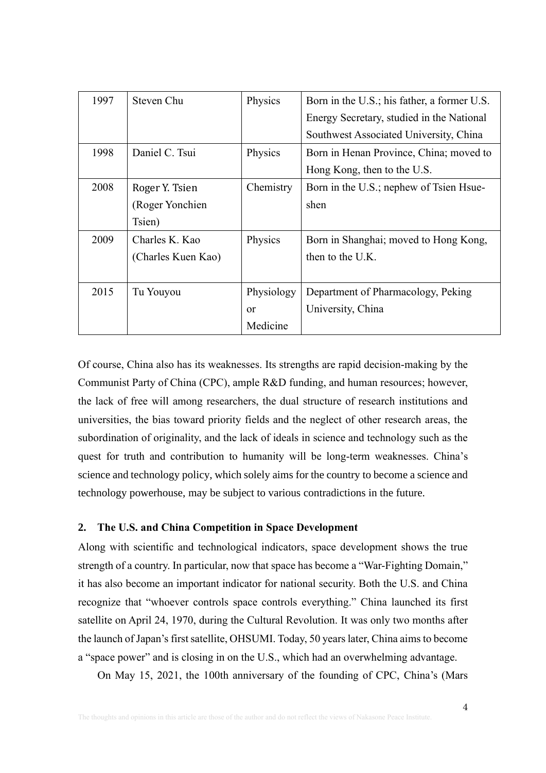| 1997 | Steven Chu         | Physics    | Born in the U.S.; his father, a former U.S. |
|------|--------------------|------------|---------------------------------------------|
|      |                    |            | Energy Secretary, studied in the National   |
|      |                    |            | Southwest Associated University, China      |
| 1998 | Daniel C. Tsui     | Physics    | Born in Henan Province, China; moved to     |
|      |                    |            | Hong Kong, then to the U.S.                 |
| 2008 | Roger Y. Tsien     | Chemistry  | Born in the U.S.; nephew of Tsien Hsue-     |
|      | (Roger Yonchien)   |            | shen                                        |
|      | Tsien)             |            |                                             |
| 2009 | Charles K. Kao     | Physics    | Born in Shanghai; moved to Hong Kong,       |
|      | (Charles Kuen Kao) |            | then to the U.K.                            |
|      |                    |            |                                             |
| 2015 | Tu Youyou          | Physiology | Department of Pharmacology, Peking          |
|      |                    | $\alpha$ r | University, China                           |
|      |                    | Medicine   |                                             |

Of course, China also has its weaknesses. Its strengths are rapid decision-making by the Communist Party of China (CPC), ample R&D funding, and human resources; however, the lack of free will among researchers, the dual structure of research institutions and universities, the bias toward priority fields and the neglect of other research areas, the subordination of originality, and the lack of ideals in science and technology such as the quest for truth and contribution to humanity will be long-term weaknesses. China's science and technology policy, which solely aims for the country to become a science and technology powerhouse, may be subject to various contradictions in the future.

## **2. The U.S. and China Competition in Space Development**

Along with scientific and technological indicators, space development shows the true strength of a country. In particular, now that space has become a "War-Fighting Domain," it has also become an important indicator for national security. Both the U.S. and China recognize that "whoever controls space controls everything." China launched its first satellite on April 24, 1970, during the Cultural Revolution. It was only two months after the launch of Japan's first satellite, OHSUMI. Today, 50 years later, China aims to become a "space power" and is closing in on the U.S., which had an overwhelming advantage.

On May 15, 2021, the 100th anniversary of the founding of CPC, China's (Mars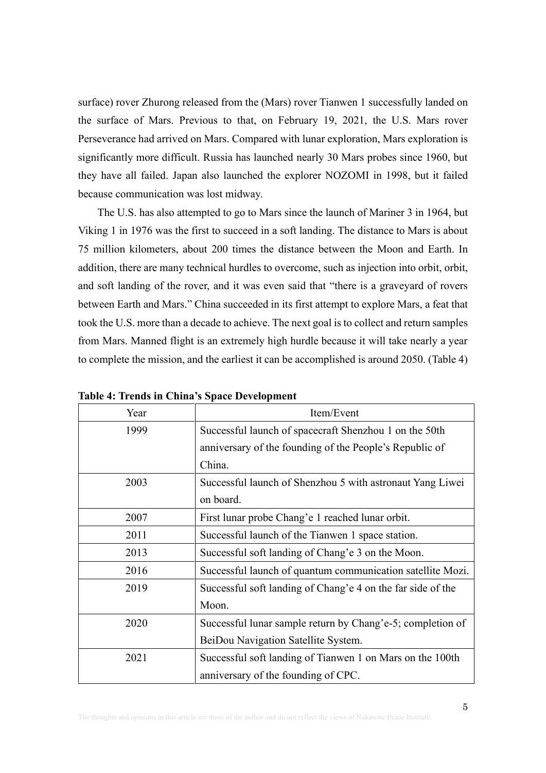surface) rover Zhurong released from the (Mars) rover Tianwen 1 successfully landed on the surface of Mars. Previous to that, on February 19, 2021, the U.S. Mars rover Perseverance had arrived on Mars. Compared with lunar exploration, Mars exploration is significantly more difficult. Russia has launched nearly 30 Mars probes since 1960, but they have all failed. Japan also launched the explorer NOZOMI in 1998, but it failed because communication was lost midway.

The U.S. has also attempted to go to Mars since the launch of Mariner 3 in 1964, but Viking 1 in 1976 was the first to succeed in a soft landing. The distance to Mars is about 75 million kilometers, about 200 times the distance between the Moon and Earth. In addition, there are many technical hurdles to overcome, such as injection into orbit, orbit, and soft landing of the rover, and it was even said that "there is a graveyard of rovers between Earth and Mars." China succeeded in its first attempt to explore Mars, a feat that took the U.S. more than a decade to achieve. The next goal is to collect and return samples from Mars. Manned flight is an extremely high hurdle because it will take nearly a year to complete the mission, and the earliest it can be accomplished is around 2050. (Table 4)

| Year | Item/Event                                                  |  |
|------|-------------------------------------------------------------|--|
| 1999 | Successful launch of spacecraft Shenzhou 1 on the 50th      |  |
|      | anniversary of the founding of the People's Republic of     |  |
|      | China.                                                      |  |
| 2003 | Successful launch of Shenzhou 5 with astronaut Yang Liwei   |  |
|      | on board.                                                   |  |
| 2007 | First lunar probe Chang'e 1 reached lunar orbit.            |  |
| 2011 | Successful launch of the Tianwen 1 space station.           |  |
| 2013 | Successful soft landing of Chang'e 3 on the Moon.           |  |
| 2016 | Successful launch of quantum communication satellite Mozi.  |  |
| 2019 | Successful soft landing of Chang'e 4 on the far side of the |  |
|      | Moon.                                                       |  |
| 2020 | Successful lunar sample return by Chang'e-5; completion of  |  |
|      | BeiDou Navigation Satellite System.                         |  |
| 2021 | Successful soft landing of Tianwen 1 on Mars on the 100th   |  |
|      | anniversary of the founding of CPC.                         |  |

**Table 4: Trends in China's Space Development**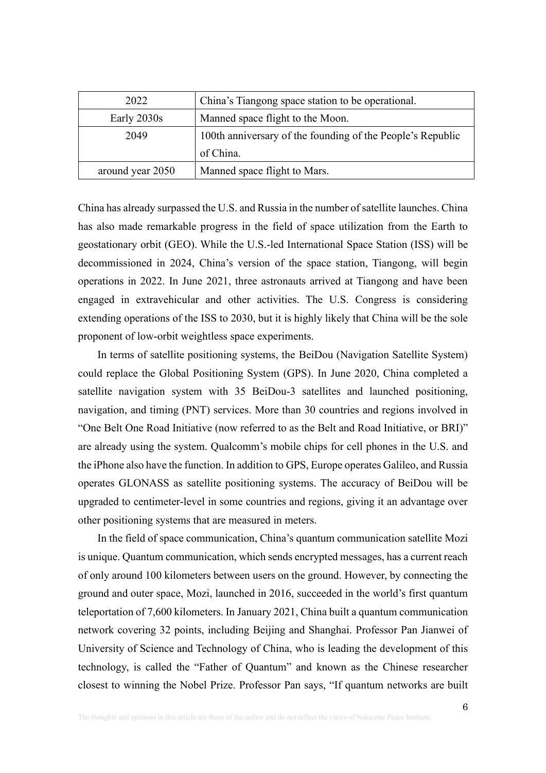| 2022                                            | China's Tiangong space station to be operational.          |
|-------------------------------------------------|------------------------------------------------------------|
| Manned space flight to the Moon.<br>Early 2030s |                                                            |
| 2049                                            | 100th anniversary of the founding of the People's Republic |
|                                                 | of China.                                                  |
| around year 2050                                | Manned space flight to Mars.                               |

China has already surpassed the U.S. and Russia in the number of satellite launches. China has also made remarkable progress in the field of space utilization from the Earth to geostationary orbit (GEO). While the U.S.-led International Space Station (ISS) will be decommissioned in 2024, China's version of the space station, Tiangong, will begin operations in 2022. In June 2021, three astronauts arrived at Tiangong and have been engaged in extravehicular and other activities. The U.S. Congress is considering extending operations of the ISS to 2030, but it is highly likely that China will be the sole proponent of low-orbit weightless space experiments.

In terms of satellite positioning systems, the BeiDou (Navigation Satellite System) could replace the Global Positioning System (GPS). In June 2020, China completed a satellite navigation system with 35 BeiDou-3 satellites and launched positioning, navigation, and timing (PNT) services. More than 30 countries and regions involved in "One Belt One Road Initiative (now referred to as the Belt and Road Initiative, or BRI)" are already using the system. Qualcomm's mobile chips for cell phones in the U.S. and the iPhone also have the function. In addition to GPS, Europe operates Galileo, and Russia operates GLONASS as satellite positioning systems. The accuracy of BeiDou will be upgraded to centimeter-level in some countries and regions, giving it an advantage over other positioning systems that are measured in meters.

In the field of space communication, China's quantum communication satellite Mozi is unique. Quantum communication, which sends encrypted messages, has a current reach of only around 100 kilometers between users on the ground. However, by connecting the ground and outer space, Mozi, launched in 2016, succeeded in the world's first quantum teleportation of 7,600 kilometers. In January 2021, China built a quantum communication network covering 32 points, including Beijing and Shanghai. Professor Pan Jianwei of University of Science and Technology of China, who is leading the development of this technology, is called the "Father of Quantum" and known as the Chinese researcher closest to winning the Nobel Prize. Professor Pan says, "If quantum networks are built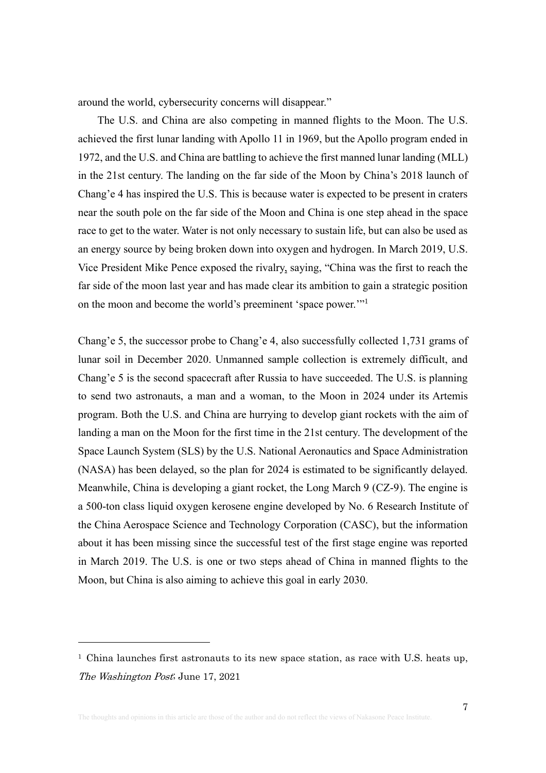around the world, cybersecurity concerns will disappear."

The U.S. and China are also competing in manned flights to the Moon. The U.S. achieved the first lunar landing with Apollo 11 in 1969, but the Apollo program ended in 1972, and the U.S. and China are battling to achieve the first manned lunar landing (MLL) in the 21st century. The landing on the far side of the Moon by China's 2018 launch of Chang'e 4 has inspired the U.S. This is because water is expected to be present in craters near the south pole on the far side of the Moon and China is one step ahead in the space race to get to the water. Water is not only necessary to sustain life, but can also be used as an energy source by being broken down into oxygen and hydrogen. In March 2019, U.S. Vice President Mike Pence exposed the rivalry, saying, "China was the first to reach the far side of the moon last year and has made clear its ambition to gain a strategic position on the moon and become the world's preeminent 'space power."<sup>1</sup>

Chang'e 5, the successor probe to Chang'e 4, also successfully collected 1,731 grams of lunar soil in December 2020. Unmanned sample collection is extremely difficult, and Chang'e 5 is the second spacecraft after Russia to have succeeded. The U.S. is planning to send two astronauts, a man and a woman, to the Moon in 2024 under its Artemis program. Both the U.S. and China are hurrying to develop giant rockets with the aim of landing a man on the Moon for the first time in the 21st century. The development of the Space Launch System (SLS) by the U.S. National Aeronautics and Space Administration (NASA) has been delayed, so the plan for 2024 is estimated to be significantly delayed. Meanwhile, China is developing a giant rocket, the Long March 9 (CZ-9). The engine is a 500-ton class liquid oxygen kerosene engine developed by No. 6 Research Institute of the China Aerospace Science and Technology Corporation (CASC), but the information about it has been missing since the successful test of the first stage engine was reported in March 2019. The U.S. is one or two steps ahead of China in manned flights to the Moon, but China is also aiming to achieve this goal in early 2030.

<sup>&</sup>lt;sup>1</sup> [China launches first astronauts to its new space station, as race with U.S. heats up,](https://www.washingtonpost.com/world/2021/06/17/china-space-station-astronaut-tianhe/) [The Washington Post](https://www.washingtonpost.com/world/2021/06/17/china-space-station-astronaut-tianhe/); June 17, 2021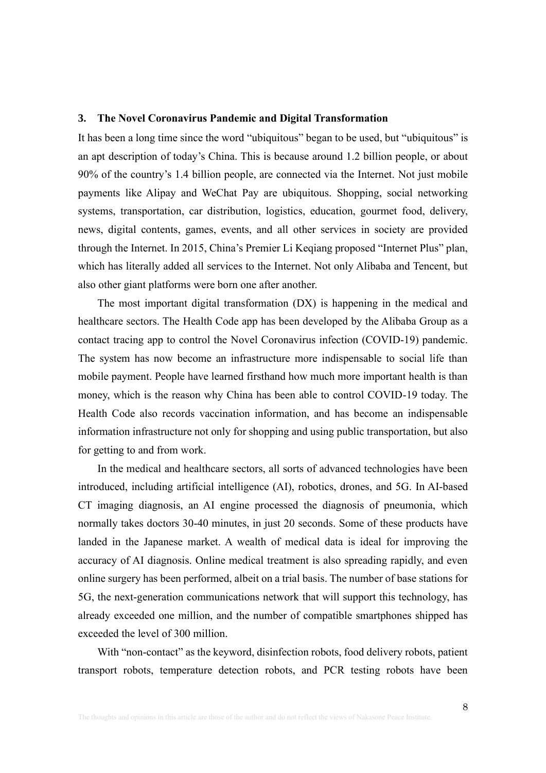#### **3. The Novel Coronavirus Pandemic and Digital Transformation**

It has been a long time since the word "ubiquitous" began to be used, but "ubiquitous" is an apt description of today's China. This is because around 1.2 billion people, or about 90% of the country's 1.4 billion people, are connected via the Internet. Not just mobile payments like Alipay and WeChat Pay are ubiquitous. Shopping, social networking systems, transportation, car distribution, logistics, education, gourmet food, delivery, news, digital contents, games, events, and all other services in society are provided through the Internet. In 2015, China's Premier Li Keqiang proposed "Internet Plus" plan, which has literally added all services to the Internet. Not only Alibaba and Tencent, but also other giant platforms were born one after another.

The most important digital transformation (DX) is happening in the medical and healthcare sectors. The Health Code app has been developed by the Alibaba Group as a contact tracing app to control the Novel Coronavirus infection (COVID-19) pandemic. The system has now become an infrastructure more indispensable to social life than mobile payment. People have learned firsthand how much more important health is than money, which is the reason why China has been able to control COVID-19 today. The Health Code also records vaccination information, and has become an indispensable information infrastructure not only for shopping and using public transportation, but also for getting to and from work.

In the medical and healthcare sectors, all sorts of advanced technologies have been introduced, including artificial intelligence (AI), robotics, drones, and 5G. In AI-based CT imaging diagnosis, an AI engine processed the diagnosis of pneumonia, which normally takes doctors 30-40 minutes, in just 20 seconds. Some of these products have landed in the Japanese market. A wealth of medical data is ideal for improving the accuracy of AI diagnosis. Online medical treatment is also spreading rapidly, and even online surgery has been performed, albeit on a trial basis. The number of base stations for 5G, the next-generation communications network that will support this technology, has already exceeded one million, and the number of compatible smartphones shipped has exceeded the level of 300 million.

With "non-contact" as the keyword, disinfection robots, food delivery robots, patient transport robots, temperature detection robots, and PCR testing robots have been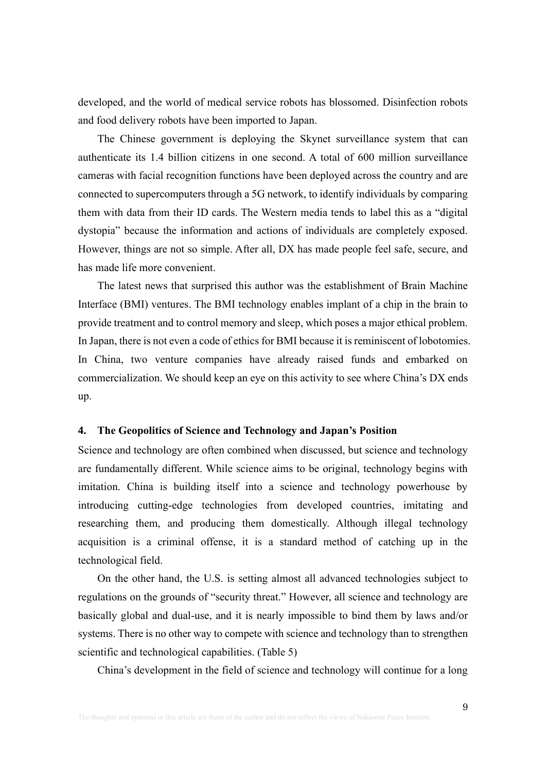developed, and the world of medical service robots has blossomed. Disinfection robots and food delivery robots have been imported to Japan.

The Chinese government is deploying the Skynet surveillance system that can authenticate its 1.4 billion citizens in one second. A total of 600 million surveillance cameras with facial recognition functions have been deployed across the country and are connected to supercomputers through a 5G network, to identify individuals by comparing them with data from their ID cards. The Western media tends to label this as a "digital dystopia" because the information and actions of individuals are completely exposed. However, things are not so simple. After all, DX has made people feel safe, secure, and has made life more convenient.

The latest news that surprised this author was the establishment of Brain Machine Interface (BMI) ventures. The BMI technology enables implant of a chip in the brain to provide treatment and to control memory and sleep, which poses a major ethical problem. In Japan, there is not even a code of ethics for BMI because it is reminiscent of lobotomies. In China, two venture companies have already raised funds and embarked on commercialization. We should keep an eye on this activity to see where China's DX ends up.

#### **4. The Geopolitics of Science and Technology and Japan's Position**

Science and technology are often combined when discussed, but science and technology are fundamentally different. While science aims to be original, technology begins with imitation. China is building itself into a science and technology powerhouse by introducing cutting-edge technologies from developed countries, imitating and researching them, and producing them domestically. Although illegal technology acquisition is a criminal offense, it is a standard method of catching up in the technological field.

On the other hand, the U.S. is setting almost all advanced technologies subject to regulations on the grounds of "security threat." However, all science and technology are basically global and dual-use, and it is nearly impossible to bind them by laws and/or systems. There is no other way to compete with science and technology than to strengthen scientific and technological capabilities. (Table 5)

China's development in the field of science and technology will continue for a long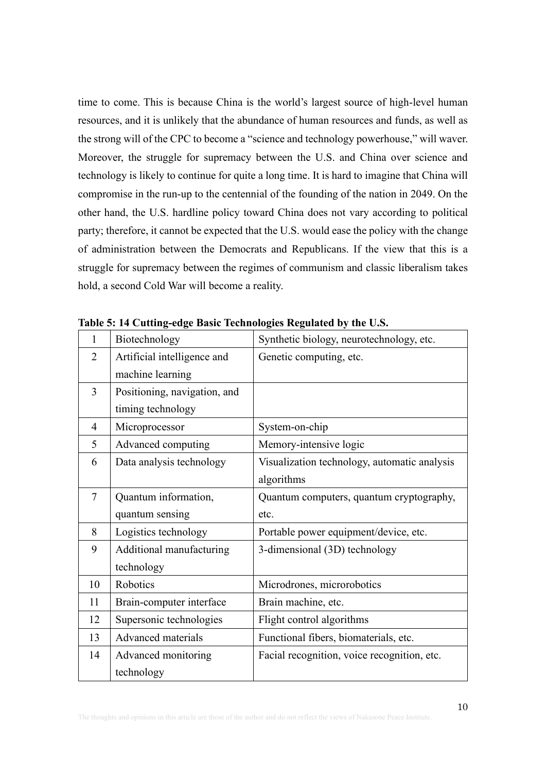time to come. This is because China is the world's largest source of high-level human resources, and it is unlikely that the abundance of human resources and funds, as well as the strong will of the CPC to become a "science and technology powerhouse," will waver. Moreover, the struggle for supremacy between the U.S. and China over science and technology is likely to continue for quite a long time. It is hard to imagine that China will compromise in the run-up to the centennial of the founding of the nation in 2049. On the other hand, the U.S. hardline policy toward China does not vary according to political party; therefore, it cannot be expected that the U.S. would ease the policy with the change of administration between the Democrats and Republicans. If the view that this is a struggle for supremacy between the regimes of communism and classic liberalism takes hold, a second Cold War will become a reality.

| 1              | Biotechnology                | Synthetic biology, neurotechnology, etc.     |
|----------------|------------------------------|----------------------------------------------|
| $\overline{2}$ | Artificial intelligence and  | Genetic computing, etc.                      |
|                | machine learning             |                                              |
| 3              | Positioning, navigation, and |                                              |
|                | timing technology            |                                              |
| $\overline{4}$ | Microprocessor               | System-on-chip                               |
| 5              | Advanced computing           | Memory-intensive logic                       |
| 6              | Data analysis technology     | Visualization technology, automatic analysis |
|                |                              | algorithms                                   |
| $\tau$         | Quantum information,         | Quantum computers, quantum cryptography,     |
|                | quantum sensing              | etc.                                         |
| 8              | Logistics technology         | Portable power equipment/device, etc.        |
| 9              | Additional manufacturing     | 3-dimensional (3D) technology                |
|                | technology                   |                                              |
| 10             | Robotics                     | Microdrones, microrobotics                   |
| 11             | Brain-computer interface     | Brain machine, etc.                          |
| 12             | Supersonic technologies      | Flight control algorithms                    |
| 13             | <b>Advanced</b> materials    | Functional fibers, biomaterials, etc.        |
| 14             | Advanced monitoring          | Facial recognition, voice recognition, etc.  |
|                | technology                   |                                              |

**Table 5: 14 Cutting-edge Basic Technologies Regulated by the U.S.**